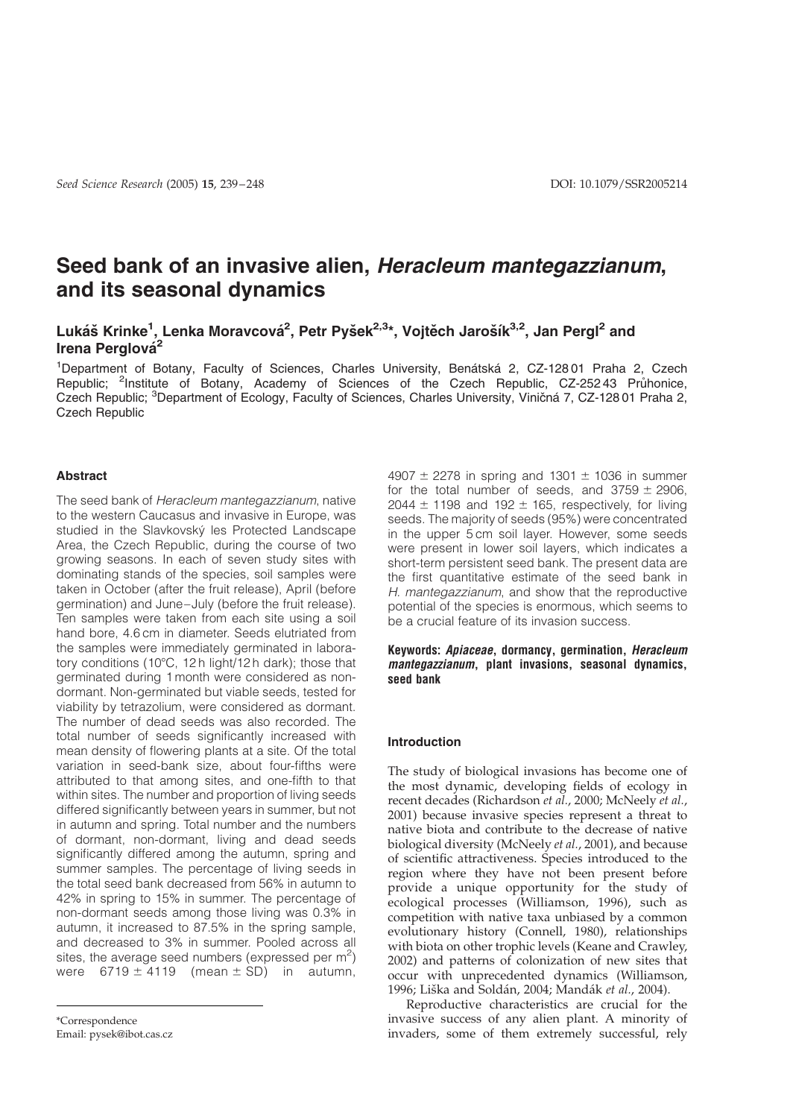# Seed bank of an invasive alien, Heracleum mantegazzianum, and its seasonal dynamics

# Lukáš Krinke<sup>1</sup>, Lenka Moravcová<sup>2</sup>, Petr Pyšek<sup>2,3</sup>\*, Vojtěch Jarošík<sup>3,2</sup>, Jan Pergl<sup>2</sup> and Irena Perglová<sup>2</sup>

<sup>1</sup>Department of Botany, Faculty of Sciences, Charles University, Benátská 2, CZ-12801 Praha 2, Czech Republic; <sup>2</sup>Institute of Botany, Academy of Sciences of the Czech Republic, CZ-25243 Prunonice, Czech Republic; <sup>3</sup>Department of Ecology, Faculty of Sciences, Charles University, Viničná 7, CZ-12801 Praha 2, Czech Republic

# Abstract

The seed bank of Heracleum mantegazzianum, native to the western Caucasus and invasive in Europe, was studied in the Slavkovský les Protected Landscape Area, the Czech Republic, during the course of two growing seasons. In each of seven study sites with dominating stands of the species, soil samples were taken in October (after the fruit release), April (before germination) and June–July (before the fruit release). Ten samples were taken from each site using a soil hand bore, 4.6 cm in diameter. Seeds elutriated from the samples were immediately germinated in laboratory conditions (10 $^{\circ}$ C, 12 h light/12 h dark); those that germinated during 1 month were considered as nondormant. Non-germinated but viable seeds, tested for viability by tetrazolium, were considered as dormant. The number of dead seeds was also recorded. The total number of seeds significantly increased with mean density of flowering plants at a site. Of the total variation in seed-bank size, about four-fifths were attributed to that among sites, and one-fifth to that within sites. The number and proportion of living seeds differed significantly between years in summer, but not in autumn and spring. Total number and the numbers of dormant, non-dormant, living and dead seeds significantly differed among the autumn, spring and summer samples. The percentage of living seeds in the total seed bank decreased from 56% in autumn to 42% in spring to 15% in summer. The percentage of non-dormant seeds among those living was 0.3% in autumn, it increased to 87.5% in the spring sample, and decreased to 3% in summer. Pooled across all sites, the average seed numbers (expressed per  $m^2$ ) were  $6719 \pm 4119$  (mean  $\pm$  SD) in autumn,

\*Correspondence Email: pysek@ibot.cas.cz

4907  $\pm$  2278 in spring and 1301  $\pm$  1036 in summer for the total number of seeds, and  $3759 \pm 2906$ , 2044  $\pm$  1198 and 192  $\pm$  165, respectively, for living seeds. The majority of seeds (95%) were concentrated in the upper 5 cm soil layer. However, some seeds were present in lower soil layers, which indicates a short-term persistent seed bank. The present data are the first quantitative estimate of the seed bank in H. mantegazzianum, and show that the reproductive potential of the species is enormous, which seems to be a crucial feature of its invasion success.

# Keywords: Apiaceae, dormancy, germination, Heracleum mantegazzianum, plant invasions, seasonal dynamics, seed bank

### Introduction

The study of biological invasions has become one of the most dynamic, developing fields of ecology in recent decades (Richardson et al., 2000; McNeely et al., 2001) because invasive species represent a threat to native biota and contribute to the decrease of native biological diversity (McNeely et al., 2001), and because of scientific attractiveness. Species introduced to the region where they have not been present before provide a unique opportunity for the study of ecological processes (Williamson, 1996), such as competition with native taxa unbiased by a common evolutionary history (Connell, 1980), relationships with biota on other trophic levels (Keane and Crawley, 2002) and patterns of colonization of new sites that occur with unprecedented dynamics (Williamson, 1996; Liška and Soldán, 2004; Mandák et al., 2004).

Reproductive characteristics are crucial for the invasive success of any alien plant. A minority of invaders, some of them extremely successful, rely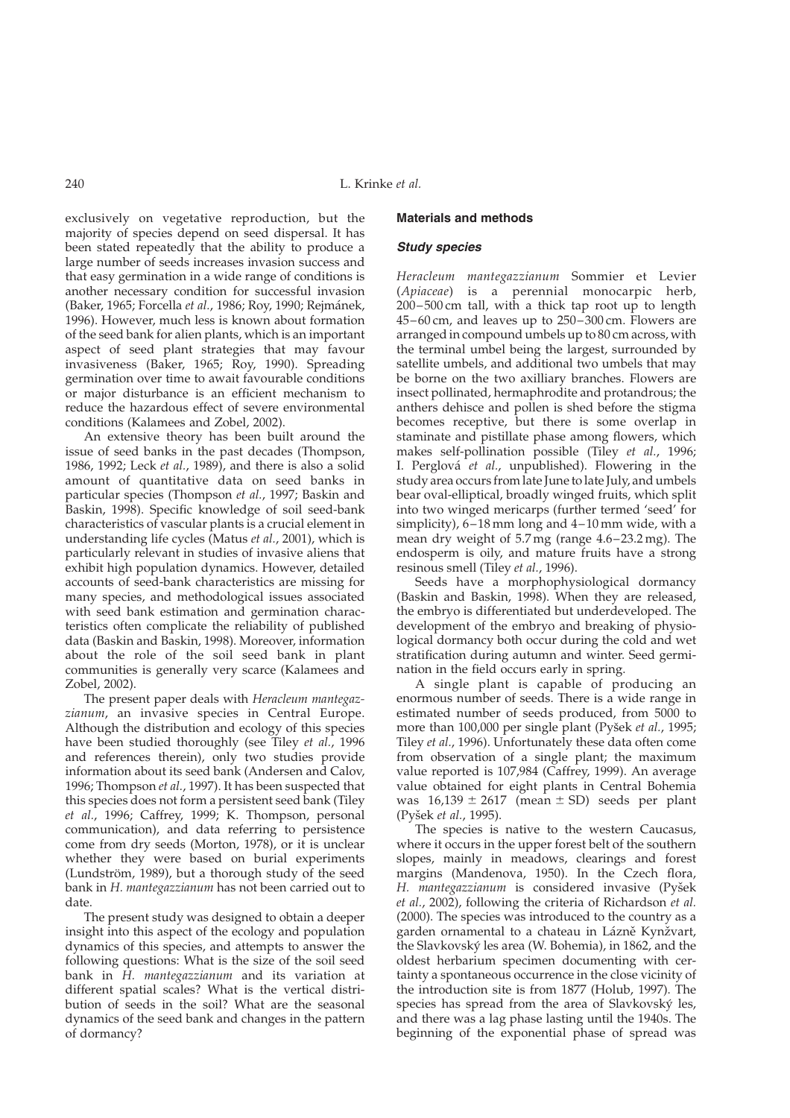exclusively on vegetative reproduction, but the majority of species depend on seed dispersal. It has been stated repeatedly that the ability to produce a large number of seeds increases invasion success and that easy germination in a wide range of conditions is another necessary condition for successful invasion (Baker, 1965; Forcella et al., 1986; Roy, 1990; Rejmánek, 1996). However, much less is known about formation of the seed bank for alien plants, which is an important aspect of seed plant strategies that may favour invasiveness (Baker, 1965; Roy, 1990). Spreading germination over time to await favourable conditions or major disturbance is an efficient mechanism to reduce the hazardous effect of severe environmental conditions (Kalamees and Zobel, 2002).

An extensive theory has been built around the issue of seed banks in the past decades (Thompson, 1986, 1992; Leck et al., 1989), and there is also a solid amount of quantitative data on seed banks in particular species (Thompson et al., 1997; Baskin and Baskin, 1998). Specific knowledge of soil seed-bank characteristics of vascular plants is a crucial element in understanding life cycles (Matus et al., 2001), which is particularly relevant in studies of invasive aliens that exhibit high population dynamics. However, detailed accounts of seed-bank characteristics are missing for many species, and methodological issues associated with seed bank estimation and germination characteristics often complicate the reliability of published data (Baskin and Baskin, 1998). Moreover, information about the role of the soil seed bank in plant communities is generally very scarce (Kalamees and Zobel, 2002).

The present paper deals with Heracleum mantegazzianum, an invasive species in Central Europe. Although the distribution and ecology of this species have been studied thoroughly (see Tiley et al., 1996 and references therein), only two studies provide information about its seed bank (Andersen and Calov, 1996; Thompson et al., 1997). It has been suspected that this species does not form a persistent seed bank (Tiley et al., 1996; Caffrey, 1999; K. Thompson, personal communication), and data referring to persistence come from dry seeds (Morton, 1978), or it is unclear whether they were based on burial experiments (Lundström, 1989), but a thorough study of the seed bank in H. mantegazzianum has not been carried out to date.

The present study was designed to obtain a deeper insight into this aspect of the ecology and population dynamics of this species, and attempts to answer the following questions: What is the size of the soil seed bank in H. mantegazzianum and its variation at different spatial scales? What is the vertical distribution of seeds in the soil? What are the seasonal dynamics of the seed bank and changes in the pattern of dormancy?

#### Materials and methods

### Study species

Heracleum mantegazzianum Sommier et Levier (Apiaceae) is a perennial monocarpic herb, 200–500 cm tall, with a thick tap root up to length 45–60 cm, and leaves up to 250–300 cm. Flowers are arranged in compound umbels up to 80 cm across, with the terminal umbel being the largest, surrounded by satellite umbels, and additional two umbels that may be borne on the two axilliary branches. Flowers are insect pollinated, hermaphrodite and protandrous; the anthers dehisce and pollen is shed before the stigma becomes receptive, but there is some overlap in staminate and pistillate phase among flowers, which makes self-pollination possible (Tiley et al., 1996; I. Perglová et al., unpublished). Flowering in the study area occurs from late June to late July, and umbels bear oval-elliptical, broadly winged fruits, which split into two winged mericarps (further termed 'seed' for simplicity), 6–18 mm long and 4–10 mm wide, with a mean dry weight of 5.7 mg (range 4.6–23.2 mg). The endosperm is oily, and mature fruits have a strong resinous smell (Tiley et al., 1996).

Seeds have a morphophysiological dormancy (Baskin and Baskin, 1998). When they are released, the embryo is differentiated but underdeveloped. The development of the embryo and breaking of physiological dormancy both occur during the cold and wet stratification during autumn and winter. Seed germination in the field occurs early in spring.

A single plant is capable of producing an enormous number of seeds. There is a wide range in estimated number of seeds produced, from 5000 to more than 100,000 per single plant (Pyšek et al., 1995; Tiley et al., 1996). Unfortunately these data often come from observation of a single plant; the maximum value reported is 107,984 (Caffrey, 1999). An average value obtained for eight plants in Central Bohemia was  $16,139 \pm 2617$  (mean  $\pm$  SD) seeds per plant (Pyšek et al., 1995).

The species is native to the western Caucasus, where it occurs in the upper forest belt of the southern slopes, mainly in meadows, clearings and forest margins (Mandenova, 1950). In the Czech flora, H. mantegazzianum is considered invasive (Pyšek et al., 2002), following the criteria of Richardson et al. (2000). The species was introduced to the country as a garden ornamental to a chateau in Lázně Kynžvart, the Slavkovsky´ les area (W. Bohemia), in 1862, and the oldest herbarium specimen documenting with certainty a spontaneous occurrence in the close vicinity of the introduction site is from 1877 (Holub, 1997). The species has spread from the area of Slavkovský les, and there was a lag phase lasting until the 1940s. The beginning of the exponential phase of spread was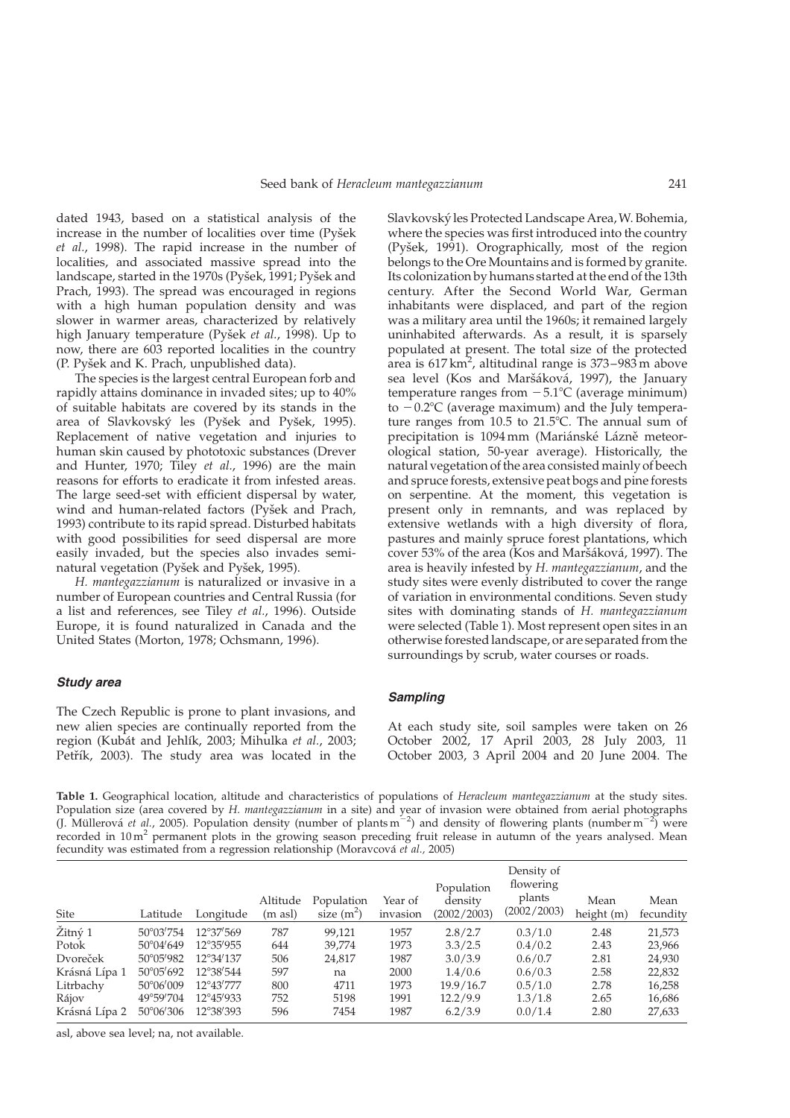<span id="page-2-0"></span>dated 1943, based on a statistical analysis of the increase in the number of localities over time (Pyšek et al., 1998). The rapid increase in the number of localities, and associated massive spread into the landscape, started in the 1970s (Pyšek, 1991; Pyšek and Prach, 1993). The spread was encouraged in regions with a high human population density and was slower in warmer areas, characterized by relatively high January temperature (Pyšek et al., 1998). Up to now, there are 603 reported localities in the country (P. Pyšek and K. Prach, unpublished data).

The species is the largest central European forb and rapidly attains dominance in invaded sites; up to 40% of suitable habitats are covered by its stands in the area of Slavkovský les (Pyšek and Pyšek, 1995). Replacement of native vegetation and injuries to human skin caused by phototoxic substances (Drever and Hunter, 1970; Tiley et al., 1996) are the main reasons for efforts to eradicate it from infested areas. The large seed-set with efficient dispersal by water, wind and human-related factors (Pyšek and Prach, 1993) contribute to its rapid spread. Disturbed habitats with good possibilities for seed dispersal are more easily invaded, but the species also invades seminatural vegetation (Pyšek and Pyšek, 1995).

H. mantegazzianum is naturalized or invasive in a number of European countries and Central Russia (for a list and references, see Tiley et al., 1996). Outside Europe, it is found naturalized in Canada and the United States (Morton, 1978; Ochsmann, 1996).

## Study area

The Czech Republic is prone to plant invasions, and new alien species are continually reported from the region (Kubát and Jehlík, 2003; Mihulka et al., 2003; Petřík, 2003). The study area was located in the Slavkovsky´ les Protected Landscape Area, W. Bohemia, where the species was first introduced into the country (Pyšek, 1991). Orographically, most of the region belongs to the Ore Mountains and is formed by granite. Its colonization by humans started at the end of the 13th century. After the Second World War, German inhabitants were displaced, and part of the region was a military area until the 1960s; it remained largely uninhabited afterwards. As a result, it is sparsely populated at present. The total size of the protected area is 617 km<sup>2</sup>, altitudinal range is 373–983 m above sea level (Kos and Maršáková, 1997), the January temperature ranges from  $-5.1^{\circ}$ C (average minimum) to  $-0.2$ °C (average maximum) and the July temperature ranges from  $10.5$  to  $21.5^{\circ}$ C. The annual sum of precipitation is 1094 mm (Mariánské Lázně meteorological station, 50-year average). Historically, the natural vegetation of the area consisted mainly of beech and spruce forests, extensive peat bogs and pine forests on serpentine. At the moment, this vegetation is present only in remnants, and was replaced by extensive wetlands with a high diversity of flora, pastures and mainly spruce forest plantations, which cover 53% of the area (Kos and Maršáková, 1997). The area is heavily infested by H. mantegazzianum, and the study sites were evenly distributed to cover the range of variation in environmental conditions. Seven study sites with dominating stands of H. mantegazzianum were selected (Table 1). Most represent open sites in an otherwise forested landscape, or are separated from the surroundings by scrub, water courses or roads.

### **Sampling**

At each study site, soil samples were taken on 26 October 2002, 17 April 2003, 28 July 2003, 11 October 2003, 3 April 2004 and 20 June 2004. The

Table 1. Geographical location, altitude and characteristics of populations of Heracleum mantegazzianum at the study sites. Population size (area covered by H. mantegazzianum in a site) and year of invasion were obtained from aerial photographs (J. Müllerová et al., 2005). Population density (number of plants m<sup>-2</sup>) and density of flowering plants (number m<sup>-2</sup>) were recorded in  $10 \text{ m}^2$  permanent plots in the growing season preceding fruit release in autumn of the years analysed. Mean fecundity was estimated from a regression relationship (Moravcová et al., 2005)

| Site          | Latitude           | Longitude          | Altitude<br>(m asl) | Population<br>size $(m^2)$ | Year of<br>invasion | Population<br>density<br>(2002/2003) | Density of<br>flowering<br>plants<br>(2002/2003) | Mean<br>height (m) | Mean<br>fecundity |
|---------------|--------------------|--------------------|---------------------|----------------------------|---------------------|--------------------------------------|--------------------------------------------------|--------------------|-------------------|
| Žitný 1       | 50°03′754          | 12°37'569          | 787                 | 99,121                     | 1957                | 2.8/2.7                              | 0.3/1.0                                          | 2.48               | 21,573            |
| Potok         | $50^{\circ}04'649$ | 12°35'955          | 644                 | 39,774                     | 1973                | 3.3/2.5                              | 0.4/0.2                                          | 2.43               | 23,966            |
| Dvoreček      | 50°05′982          | $12^{\circ}34'137$ | 506                 | 24,817                     | 1987                | 3.0/3.9                              | 0.6/0.7                                          | 2.81               | 24,930            |
| Krásná Lípa 1 | $50^{\circ}05'692$ | 12°38'544          | 597                 | na                         | 2000                | 1.4/0.6                              | 0.6/0.3                                          | 2.58               | 22,832            |
| Litrbachy     | 50°06′009          | 12°43'777          | 800                 | 4711                       | 1973                | 19.9/16.7                            | 0.5/1.0                                          | 2.78               | 16,258            |
| Rájov         | 49°59′704          | 12°45'933          | 752                 | 5198                       | 1991                | 12.2/9.9                             | 1.3/1.8                                          | 2.65               | 16,686            |
| Krásná Lípa 2 | $50^{\circ}06'306$ | 12°38′393          | 596                 | 7454                       | 1987                | 6.2/3.9                              | 0.0/1.4                                          | 2.80               | 27,633            |

asl, above sea level; na, not available.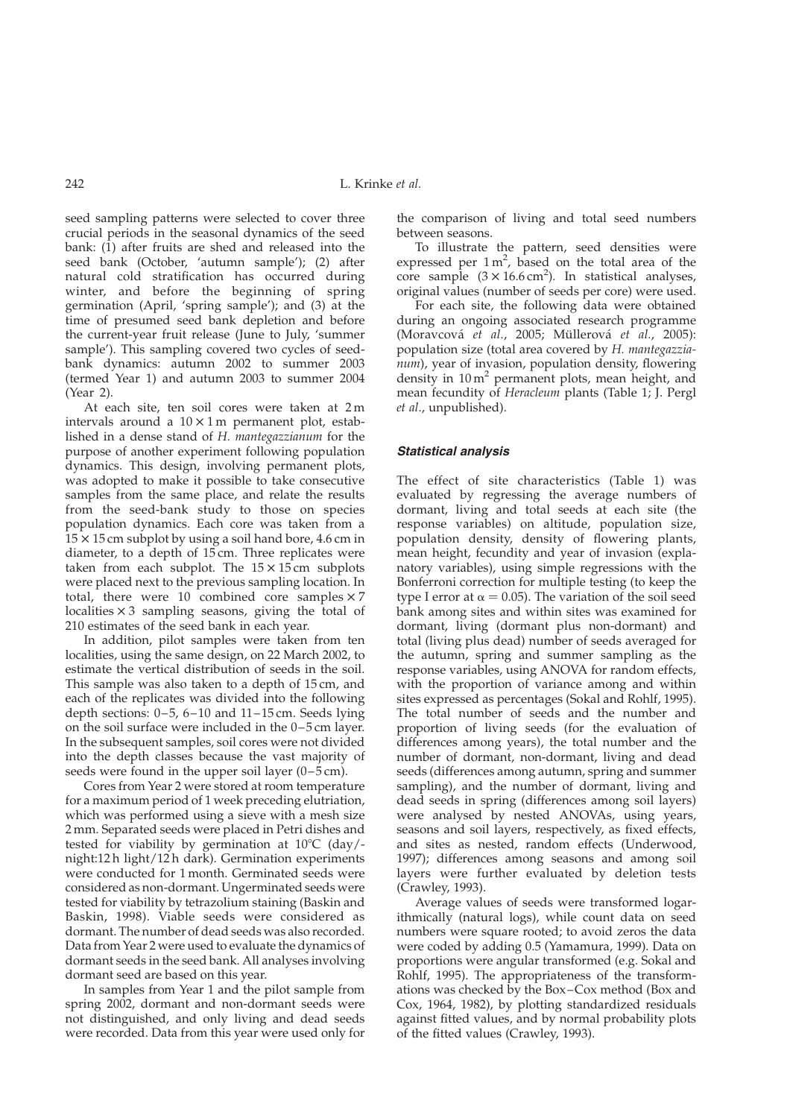seed sampling patterns were selected to cover three crucial periods in the seasonal dynamics of the seed bank: (1) after fruits are shed and released into the seed bank (October, 'autumn sample'); (2) after natural cold stratification has occurred during winter, and before the beginning of spring germination (April, 'spring sample'); and (3) at the time of presumed seed bank depletion and before the current-year fruit release (June to July, 'summer sample'). This sampling covered two cycles of seedbank dynamics: autumn 2002 to summer 2003 (termed Year 1) and autumn 2003 to summer 2004 (Year 2).

At each site, ten soil cores were taken at 2 m intervals around a  $10 \times 1$  m permanent plot, established in a dense stand of H. mantegazzianum for the purpose of another experiment following population dynamics. This design, involving permanent plots, was adopted to make it possible to take consecutive samples from the same place, and relate the results from the seed-bank study to those on species population dynamics. Each core was taken from a  $15 \times 15$  cm subplot by using a soil hand bore, 4.6 cm in diameter, to a depth of 15 cm. Three replicates were taken from each subplot. The  $15 \times 15$  cm subplots were placed next to the previous sampling location. In total, there were 10 combined core samples  $\times 7$ localities  $\times$  3 sampling seasons, giving the total of 210 estimates of the seed bank in each year.

In addition, pilot samples were taken from ten localities, using the same design, on 22 March 2002, to estimate the vertical distribution of seeds in the soil. This sample was also taken to a depth of 15 cm, and each of the replicates was divided into the following depth sections: 0–5, 6–10 and 11–15 cm. Seeds lying on the soil surface were included in the 0–5 cm layer. In the subsequent samples, soil cores were not divided into the depth classes because the vast majority of seeds were found in the upper soil layer (0–5 cm).

Cores from Year 2 were stored at room temperature for a maximum period of 1 week preceding elutriation, which was performed using a sieve with a mesh size 2 mm. Separated seeds were placed in Petri dishes and tested for viability by germination at  $10^{\circ}$ C (day/night:12 h light/12 h dark). Germination experiments were conducted for 1 month. Germinated seeds were considered as non-dormant. Ungerminated seeds were tested for viability by tetrazolium staining (Baskin and Baskin, 1998). Viable seeds were considered as dormant. The number of dead seeds was also recorded. Data from Year 2 were used to evaluate the dynamics of dormant seeds in the seed bank. All analyses involving dormant seed are based on this year.

In samples from Year 1 and the pilot sample from spring 2002, dormant and non-dormant seeds were not distinguished, and only living and dead seeds were recorded. Data from this year were used only for

the comparison of living and total seed numbers between seasons.

To illustrate the pattern, seed densities were expressed per  $1 \text{ m}^2$ , based on the total area of the core sample  $(3 \times 16.6 \text{ cm}^2)$ . In statistical analyses, original values (number of seeds per core) were used.

For each site, the following data were obtained during an ongoing associated research programme (Moravcová et al., 2005; Müllerová et al., 2005): population size (total area covered by H. mantegazzianum), year of invasion, population density, flowering density in  $10 \text{ m}^2$  permanent plots, mean height, and mean fecundity of Heracleum plants ([Table 1;](#page-2-0) J. Pergl et al., unpublished).

#### Statistical analysis

The effect of site characteristics [\(Table 1](#page-2-0)) was evaluated by regressing the average numbers of dormant, living and total seeds at each site (the response variables) on altitude, population size, population density, density of flowering plants, mean height, fecundity and year of invasion (explanatory variables), using simple regressions with the Bonferroni correction for multiple testing (to keep the type I error at  $\alpha = 0.05$ ). The variation of the soil seed bank among sites and within sites was examined for dormant, living (dormant plus non-dormant) and total (living plus dead) number of seeds averaged for the autumn, spring and summer sampling as the response variables, using ANOVA for random effects, with the proportion of variance among and within sites expressed as percentages (Sokal and Rohlf, 1995). The total number of seeds and the number and proportion of living seeds (for the evaluation of differences among years), the total number and the number of dormant, non-dormant, living and dead seeds (differences among autumn, spring and summer sampling), and the number of dormant, living and dead seeds in spring (differences among soil layers) were analysed by nested ANOVAs, using years, seasons and soil layers, respectively, as fixed effects, and sites as nested, random effects (Underwood, 1997); differences among seasons and among soil layers were further evaluated by deletion tests (Crawley, 1993).

Average values of seeds were transformed logarithmically (natural logs), while count data on seed numbers were square rooted; to avoid zeros the data were coded by adding 0.5 (Yamamura, 1999). Data on proportions were angular transformed (e.g. Sokal and Rohlf, 1995). The appropriateness of the transformations was checked by the Box–Cox method (Box and Cox, 1964, 1982), by plotting standardized residuals against fitted values, and by normal probability plots of the fitted values (Crawley, 1993).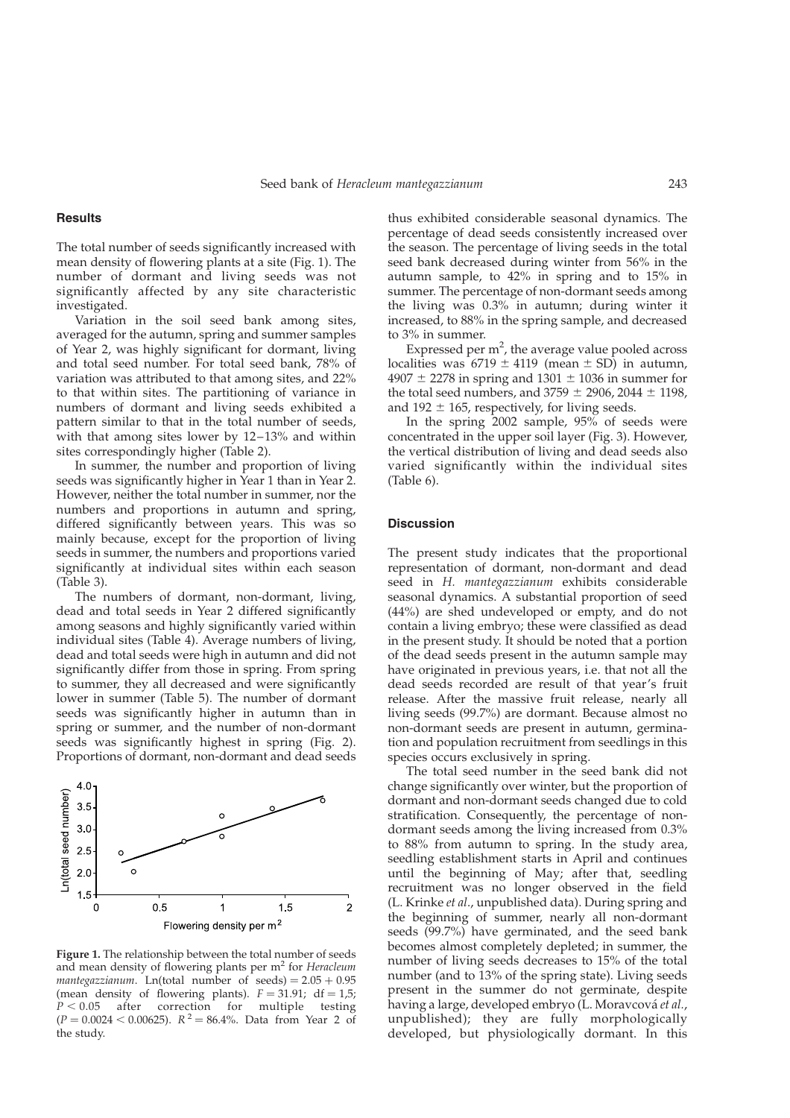#### <span id="page-4-0"></span>**Results**

The total number of seeds significantly increased with mean density of flowering plants at a site (Fig. 1). The number of dormant and living seeds was not significantly affected by any site characteristic investigated.

Variation in the soil seed bank among sites, averaged for the autumn, spring and summer samples of Year 2, was highly significant for dormant, living and total seed number. For total seed bank, 78% of variation was attributed to that among sites, and 22% to that within sites. The partitioning of variance in numbers of dormant and living seeds exhibited a pattern similar to that in the total number of seeds, with that among sites lower by 12–13% and within sites correspondingly higher ([Table 2\)](#page-5-0).

In summer, the number and proportion of living seeds was significantly higher in Year 1 than in Year 2. However, neither the total number in summer, nor the numbers and proportions in autumn and spring, differed significantly between years. This was so mainly because, except for the proportion of living seeds in summer, the numbers and proportions varied significantly at individual sites within each season ([Table 3\)](#page-5-0).

The numbers of dormant, non-dormant, living, dead and total seeds in Year 2 differed significantly among seasons and highly significantly varied within individual sites ([Table 4\)](#page-5-0). Average numbers of living, dead and total seeds were high in autumn and did not significantly differ from those in spring. From spring to summer, they all decreased and were significantly lower in summer ([Table 5](#page-6-0)). The number of dormant seeds was significantly higher in autumn than in spring or summer, and the number of non-dormant seeds was significantly highest in spring ([Fig. 2\)](#page-6-0). Proportions of dormant, non-dormant and dead seeds



Figure 1. The relationship between the total number of seeds and mean density of flowering plants per m<sup>2</sup> for Heracleum mantegazzianum. Ln(total number of seeds) =  $2.05 + 0.95$ (mean density of flowering plants).  $F = 31.91$ ; df = 1,5;  $P < 0.05$  after correction for multiple testing  $(P = 0.0024 < 0.00625)$ .  $R^2 = 86.4\%$ . Data from Year 2 of the study.

thus exhibited considerable seasonal dynamics. The percentage of dead seeds consistently increased over the season. The percentage of living seeds in the total seed bank decreased during winter from 56% in the autumn sample, to 42% in spring and to 15% in summer. The percentage of non-dormant seeds among the living was 0.3% in autumn; during winter it increased, to 88% in the spring sample, and decreased to 3% in summer.

Expressed per  $m^2$ , the average value pooled across localities was  $6719 \pm 4119$  (mean  $\pm$  SD) in autumn,  $4907 \pm 2278$  in spring and  $1301 \pm 1036$  in summer for the total seed numbers, and  $3759 \pm 2906$ ,  $2044 \pm 1198$ , and 192  $\pm$  165, respectively, for living seeds.

In the spring 2002 sample, 95% of seeds were concentrated in the upper soil layer [\(Fig. 3](#page-7-0)). However, the vertical distribution of living and dead seeds also varied significantly within the individual sites [\(Table 6](#page-7-0)).

#### **Discussion**

The present study indicates that the proportional representation of dormant, non-dormant and dead seed in H. mantegazzianum exhibits considerable seasonal dynamics. A substantial proportion of seed (44%) are shed undeveloped or empty, and do not contain a living embryo; these were classified as dead in the present study. It should be noted that a portion of the dead seeds present in the autumn sample may have originated in previous years, i.e. that not all the dead seeds recorded are result of that year's fruit release. After the massive fruit release, nearly all living seeds (99.7%) are dormant. Because almost no non-dormant seeds are present in autumn, germination and population recruitment from seedlings in this species occurs exclusively in spring.

The total seed number in the seed bank did not change significantly over winter, but the proportion of dormant and non-dormant seeds changed due to cold stratification. Consequently, the percentage of nondormant seeds among the living increased from 0.3% to 88% from autumn to spring. In the study area, seedling establishment starts in April and continues until the beginning of May; after that, seedling recruitment was no longer observed in the field (L. Krinke et al., unpublished data). During spring and the beginning of summer, nearly all non-dormant seeds (99.7%) have germinated, and the seed bank becomes almost completely depleted; in summer, the number of living seeds decreases to 15% of the total number (and to 13% of the spring state). Living seeds present in the summer do not germinate, despite having a large, developed embryo (L. Moravcová et al., unpublished); they are fully morphologically developed, but physiologically dormant. In this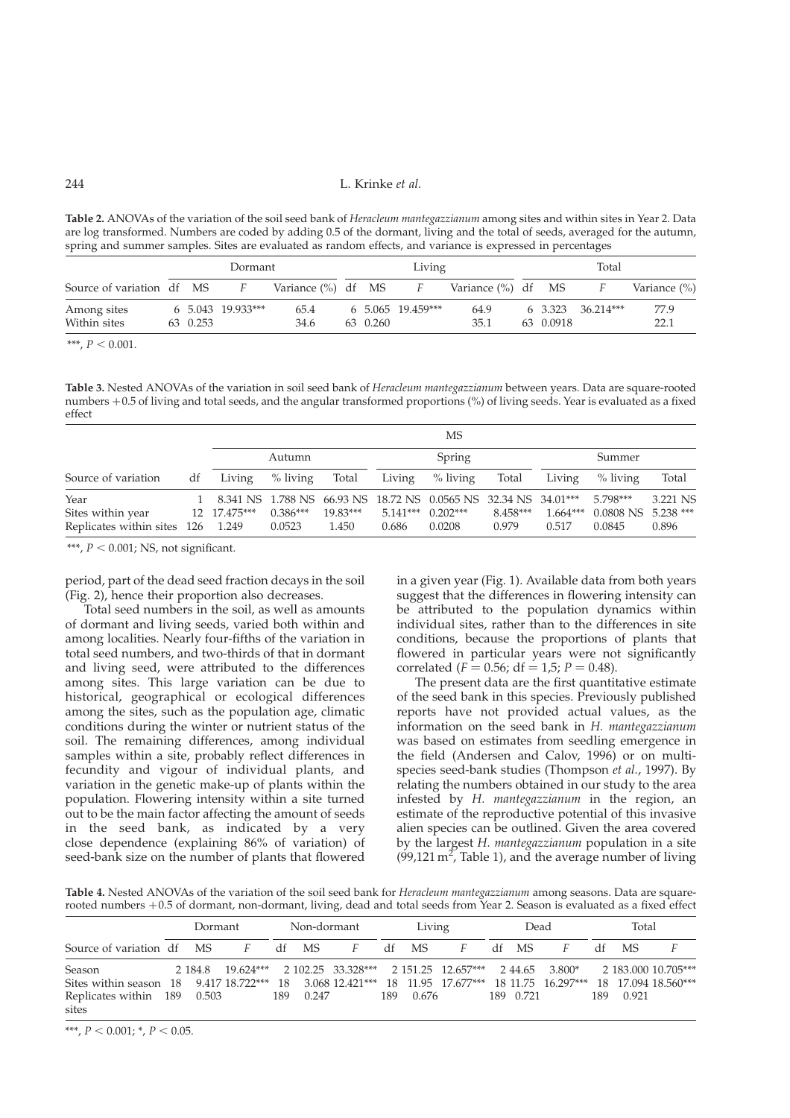# <span id="page-5-0"></span>244 L. Krinke et al.

Table 2. ANOVAs of the variation of the soil seed bank of Heracleum mantegazzianum among sites and within sites in Year 2. Data are log transformed. Numbers are coded by adding 0.5 of the dormant, living and the total of seeds, averaged for the autumn, spring and summer samples. Sites are evaluated as random effects, and variance is expressed in percentages

|                             |          | Dormant           |                       |          | Living                        |                       |           | Total                         |              |
|-----------------------------|----------|-------------------|-----------------------|----------|-------------------------------|-----------------------|-----------|-------------------------------|--------------|
| Source of variation df MS   |          |                   | Variance $(\%)$ df MS |          |                               | Variance $(\%)$ df MS |           |                               | Variance (%) |
| Among sites<br>Within sites | 63 0.253 | 6 5.043 19.933*** | 65.4<br>34.6          | 63 0.260 | $6\quad 5.065\quad 19.459***$ | 64.9<br>35.1          | 63 0.0918 | $6\quad 3.323\quad 36.214***$ | 77.9<br>22.1 |

\*\*\*,  $P < 0.001$ .

Table 3. Nested ANOVAs of the variation in soil seed bank of Heracleum mantegazzianum between years. Data are square-rooted numbers +0.5 of living and total seeds, and the angular transformed proportions (%) of living seeds. Year is evaluated as a fixed effect

|                                                                  |    |              |                      |                     |                     | MS                                                                                      |                   |                     |                                               |                   |
|------------------------------------------------------------------|----|--------------|----------------------|---------------------|---------------------|-----------------------------------------------------------------------------------------|-------------------|---------------------|-----------------------------------------------|-------------------|
|                                                                  |    |              | Autumn               |                     |                     | Spring                                                                                  |                   |                     | Summer                                        |                   |
| Source of variation                                              | df | Living       | $\%$ living          | Total               | Living              | $\%$ living                                                                             | Total             | Living              | $%$ living                                    | Total             |
| Year<br>Sites within year<br>Replicates within sites $126$ 1.249 |    | 12 17.475*** | $0.386***$<br>0.0523 | $19.83***$<br>1.450 | $5.141***$<br>0.686 | 8.341 NS 1.788 NS 66.93 NS 18.72 NS 0.0565 NS 32.34 NS 34.01***<br>$0.202***$<br>0.0208 | 8.458***<br>0.979 | $1.664***$<br>0.517 | 5.798***<br>$0.0808$ NS $5.238$ ***<br>0.0845 | 3.221 NS<br>0.896 |

\*\*\*,  $P < 0.001$ ; NS, not significant.

period, part of the dead seed fraction decays in the soil [\(Fig. 2\)](#page-6-0), hence their proportion also decreases.

Total seed numbers in the soil, as well as amounts of dormant and living seeds, varied both within and among localities. Nearly four-fifths of the variation in total seed numbers, and two-thirds of that in dormant and living seed, were attributed to the differences among sites. This large variation can be due to historical, geographical or ecological differences among the sites, such as the population age, climatic conditions during the winter or nutrient status of the soil. The remaining differences, among individual samples within a site, probably reflect differences in fecundity and vigour of individual plants, and variation in the genetic make-up of plants within the population. Flowering intensity within a site turned out to be the main factor affecting the amount of seeds in the seed bank, as indicated by a very close dependence (explaining 86% of variation) of seed-bank size on the number of plants that flowered

in a given year ([Fig. 1](#page-4-0)). Available data from both years suggest that the differences in flowering intensity can be attributed to the population dynamics within individual sites, rather than to the differences in site conditions, because the proportions of plants that flowered in particular years were not significantly correlated ( $F = 0.56$ ; df = 1,5; P = 0.48).

The present data are the first quantitative estimate of the seed bank in this species. Previously published reports have not provided actual values, as the information on the seed bank in H. mantegazzianum was based on estimates from seedling emergence in the field (Andersen and Calov, 1996) or on multispecies seed-bank studies (Thompson et al., 1997). By relating the numbers obtained in our study to the area infested by H. mantegazzianum in the region, an estimate of the reproductive potential of this invasive alien species can be outlined. Given the area covered by the largest H. mantegazzianum population in a site  $(99, 121 \text{ m}^2)$ , [Table 1\)](#page-2-0), and the average number of living

Table 4. Nested ANOVAs of the variation of the soil seed bank for Heracleum mantegazzianum among seasons. Data are squarerooted numbers +0.5 of dormant, non-dormant, living, dead and total seeds from Year 2. Season is evaluated as a fixed effect

|                                           | Dormant |                                                                                            |     | Non-dormant |                |     | Living |   | Dead      |                                                       |      | Total |                     |
|-------------------------------------------|---------|--------------------------------------------------------------------------------------------|-----|-------------|----------------|-----|--------|---|-----------|-------------------------------------------------------|------|-------|---------------------|
| Source of variation df MS                 |         | $F$ and $F$                                                                                |     | df MS       | $\overline{F}$ | df  | MS     | F | df MS     |                                                       |      | df MS |                     |
| Season                                    |         | 2 184.8 19.624*** 2 102.25 33.328*** 2 151.25 12.657*** 2 44.65 3.800* 2 183.000 10.705*** |     |             |                |     |        |   |           |                                                       |      |       |                     |
| Sites within season 18 9.417 18.722*** 18 |         |                                                                                            |     |             |                |     |        |   |           | 3.068 12.421*** 18 11.95 17.677*** 18 11.75 16.297*** |      |       | 18 17.094 18.560*** |
| Replicates within 189 0.503               |         |                                                                                            | 189 | 0.247       |                | 189 | 0.676  |   | 189 0.721 |                                                       | 189. | 0.921 |                     |
| sites                                     |         |                                                                                            |     |             |                |     |        |   |           |                                                       |      |       |                     |

\*\*\*,  $P < 0.001$ ; \*,  $P < 0.05$ .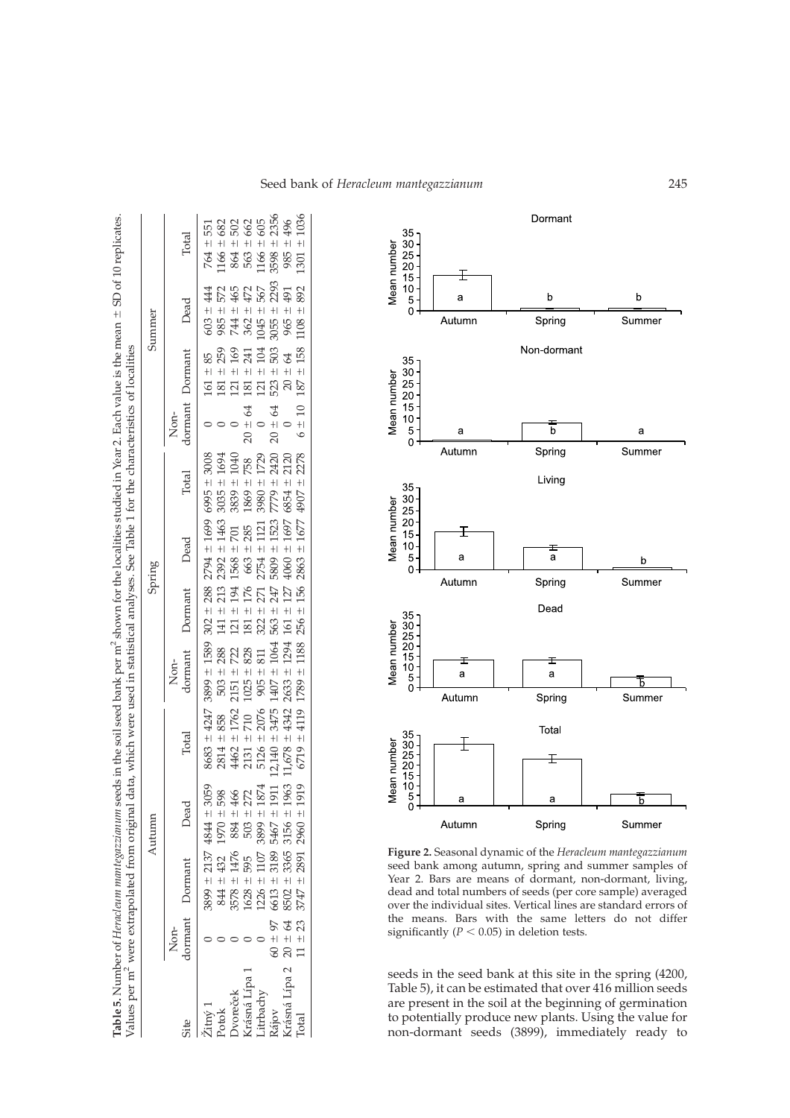|               |             | Values per m <sup>2</sup> were extrapolated from original |                              | data, which were used in statistical analyses. See Table 1 for the characteristics of localities |                                                                 |                     |                   |                            |                |                         |                                         |                             |
|---------------|-------------|-----------------------------------------------------------|------------------------------|--------------------------------------------------------------------------------------------------|-----------------------------------------------------------------|---------------------|-------------------|----------------------------|----------------|-------------------------|-----------------------------------------|-----------------------------|
|               |             |                                                           | Autumn                       |                                                                                                  |                                                                 |                     | Spring            |                            |                |                         | Summer                                  |                             |
|               | Non-        | dormant Dormant                                           | Dead                         | Total                                                                                            | dormant<br>Non-                                                 | Dormant             | Dead              | Total                      | Non-           | dormant<br>Dormant      | Dead                                    | Total                       |
|               |             | $-5899 \pm 2137$ 4844 $\pm$                               | 3059                         |                                                                                                  |                                                                 | $302 \pm 288$       | $2794 \pm 1699$   | $6995 \pm 3008$            |                | 85<br>$161 \pm$         | 44<br>$603 \pm$                         | $764 \pm 551$               |
| otok          |             |                                                           | 598<br>466<br>1970 ±         |                                                                                                  | $8683 \pm 4247$ 3899 $\pm$ 1589<br>2814 $\pm$ 858 503 $\pm$ 288 | 213<br>$141 \pm$    | $2392 \pm 1463$   | 1694<br>$+1$<br>3035       |                | 259<br>$181 \pm$        | 572<br>985                              | 682<br>$+1$<br>1166         |
| voreček       |             | $\frac{844 \pm 432}{3578 \pm 1476}$                       | 884 ±                        | 4462                                                                                             | 722<br>$2151 \pm$                                               | $-194$<br>$121 \pm$ | 701<br>$1568 \pm$ | 1040<br>$+1$<br>3839       |                | 169<br>$121 \pm 7$      | $+$<br>744                              | $864 \pm$                   |
| rásná Lípa    |             | $\frac{1628 \pm 595}{1226 \pm 1107}$                      | $503 +$                      | $\begin{array}{r} \pm 1762 \\ \pm 710 \\ \pm 2076 \end{array}$                                   | 828<br>$1025 \pm$                                               | 176<br>$181 \pm 7$  | 285<br>663 ±      | 758<br>$+1$<br>1869:       | $20 \pm 64$    | 241<br>$181 \pm 1$      | $452$<br>$452$<br>$362 +$               | 582<br>685<br>$+1$          |
| itrbachy      |             |                                                           | $\frac{272}{1874}$<br>3899 ± | $2131 \pm 7$<br>5126 ± 2                                                                         | 811<br>$905 \pm$                                                | 271<br>$322 \pm 7$  | 1121<br>$2754 +$  | 1729<br>$\ddagger$<br>3980 | $\overline{a}$ | 104<br>$121 +$          | $1045 \pm$                              | $+1$<br>563<br>1166         |
|               | $60 + 97$   | $6613 \pm 3189$                                           | 1911<br>$+$<br>5467          | 3475<br>$12,140 =$                                                                               | $1407 \pm 1064$                                                 | 247<br>$563 + 1$    | ± 1523<br>5809    | 2420<br>$+1$<br>7779       | $20 \pm 64$    | 503<br>$523 +$          | $3055 \pm 2293$                         | 2356<br>$+1$<br>3598        |
| Irásná Lípa 2 | $20 \pm 64$ | $8502 \pm 3365$                                           | 1963<br>$3156 +$             | $11,678 \pm 4342$                                                                                | $2633 \pm 1294$                                                 | $161 \pm 127$       | $4060 \pm 1697$   | 2120<br>6854 ±             | $\overline{0}$ | $\frac{4}{3}$<br>$20 +$ | 491<br>$-5965$                          | 496<br>$\frac{1}{1}$<br>985 |
| <b>l</b> otal | $11 \pm 23$ | $3747 \pm 2891$ 2960 $\pm$                                | 1919                         | $6719 \pm 4119$                                                                                  | $1789 \pm 1188$                                                 | $256 \pm 156$       | $2863 \pm 1677$   | 2278<br>$4907 \pm$         |                |                         | $6 \pm 10$ 187 $\pm$ 158 1108 $\pm$ 892 | 1036<br>$1301 \pm$          |

Table 5.

Number of *Heracleum mantegazzianum* seeds in the soil seed bank per m<sup>2</sup> shown for the localities studied in Year 2. Each value is the mean

 $^{+}$ 

<span id="page-6-0"></span>SD of 10 replicates.



Figure 2. Seasonal dynamic of the Heracleum mantegazzianum seed bank among autumn, spring and summer samples of Year 2. Bars are means of dormant, non-dormant, living, dead and total numbers of seeds (per core sample) averaged over the individual sites. Vertical lines are standard errors of the means. Bars with the same letters do not differ significantly ( $P < 0.05$ ) in deletion tests.

seeds in the seed bank at this site in the spring (4200, Table 5), it can be estimated that over 416 million seeds are present in the soil at the beginning of germination to potentially produce new plants. Using the value for non-dormant seeds (3899), immediately ready to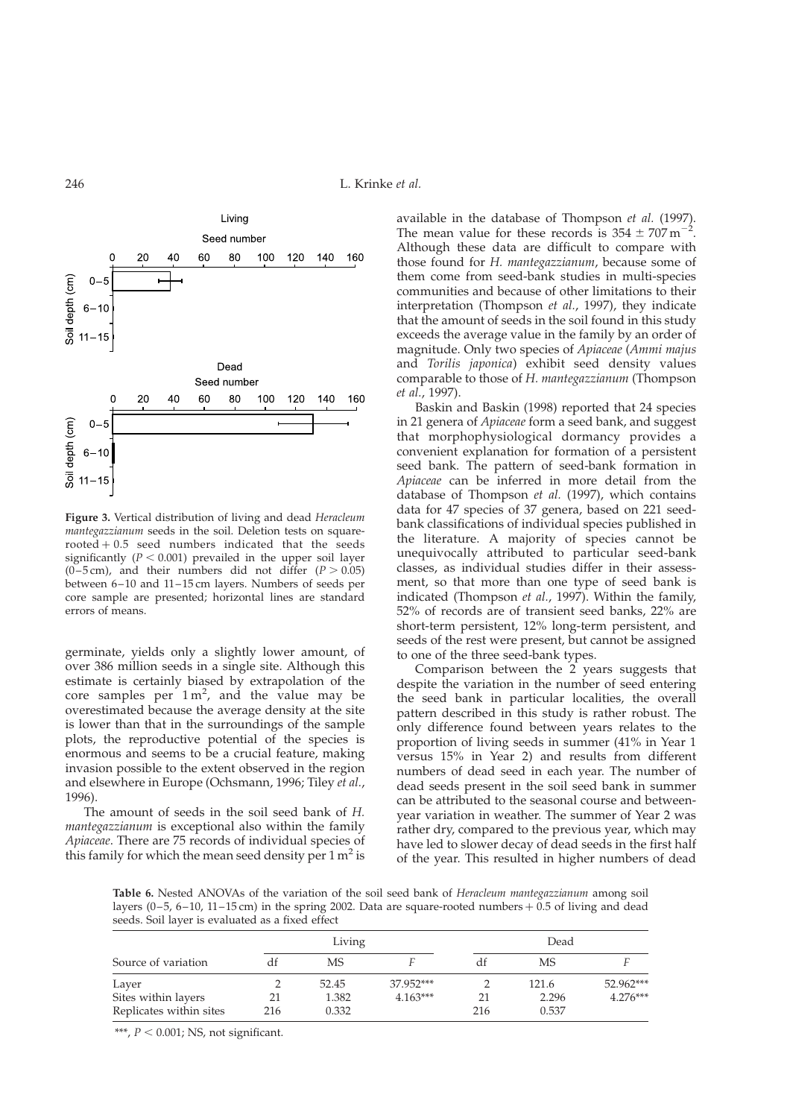<span id="page-7-0"></span>246 L. Krinke et al.



Figure 3. Vertical distribution of living and dead Heracleum mantegazzianum seeds in the soil. Deletion tests on square $rooted + 0.5$  seed numbers indicated that the seeds significantly ( $P < 0.001$ ) prevailed in the upper soil layer  $(0-5 \text{ cm})$ , and their numbers did not differ  $(P > 0.05)$ between 6–10 and 11–15 cm layers. Numbers of seeds per core sample are presented; horizontal lines are standard errors of means.

germinate, yields only a slightly lower amount, of over 386 million seeds in a single site. Although this estimate is certainly biased by extrapolation of the core samples per  $1 \text{ m}^2$ , and the value may be overestimated because the average density at the site is lower than that in the surroundings of the sample plots, the reproductive potential of the species is enormous and seems to be a crucial feature, making invasion possible to the extent observed in the region and elsewhere in Europe (Ochsmann, 1996; Tiley et al., 1996).

The amount of seeds in the soil seed bank of H. mantegazzianum is exceptional also within the family Apiaceae. There are 75 records of individual species of this family for which the mean seed density per  $1 \text{ m}^2$  is available in the database of Thompson et al. (1997). The mean value for these records is  $354 \pm 707 \,\mathrm{m}^{-2}$ . Although these data are difficult to compare with those found for H. mantegazzianum, because some of them come from seed-bank studies in multi-species communities and because of other limitations to their interpretation (Thompson et al., 1997), they indicate that the amount of seeds in the soil found in this study exceeds the average value in the family by an order of magnitude. Only two species of Apiaceae (Ammi majus and Torilis japonica) exhibit seed density values comparable to those of H. mantegazzianum (Thompson et al., 1997).

Baskin and Baskin (1998) reported that 24 species in 21 genera of Apiaceae form a seed bank, and suggest that morphophysiological dormancy provides a convenient explanation for formation of a persistent seed bank. The pattern of seed-bank formation in Apiaceae can be inferred in more detail from the database of Thompson et al. (1997), which contains data for 47 species of 37 genera, based on 221 seedbank classifications of individual species published in the literature. A majority of species cannot be unequivocally attributed to particular seed-bank classes, as individual studies differ in their assessment, so that more than one type of seed bank is indicated (Thompson et al., 1997). Within the family, 52% of records are of transient seed banks, 22% are short-term persistent, 12% long-term persistent, and seeds of the rest were present, but cannot be assigned to one of the three seed-bank types.

Comparison between the 2 years suggests that despite the variation in the number of seed entering the seed bank in particular localities, the overall pattern described in this study is rather robust. The only difference found between years relates to the proportion of living seeds in summer (41% in Year 1 versus 15% in Year 2) and results from different numbers of dead seed in each year. The number of dead seeds present in the soil seed bank in summer can be attributed to the seasonal course and betweenyear variation in weather. The summer of Year 2 was rather dry, compared to the previous year, which may have led to slower decay of dead seeds in the first half of the year. This resulted in higher numbers of dead

Table 6. Nested ANOVAs of the variation of the soil seed bank of Heracleum mantegazzianum among soil layers (0–5, 6–10, 11–15 cm) in the spring 2002. Data are square-rooted numbers  $+$  0.5 of living and dead seeds. Soil layer is evaluated as a fixed effect

|                         |     | Living |            |     | Dead  |            |
|-------------------------|-----|--------|------------|-----|-------|------------|
| Source of variation     |     | МS     |            |     | MS    |            |
| Layer                   |     | 52.45  | 37.952***  |     | 121.6 | 52.962***  |
| Sites within layers     | 21  | 1.382  | $4.163***$ | 21  | 2.296 | $4.276***$ |
| Replicates within sites | 216 | 0.332  |            | 216 | 0.537 |            |

\*\*\*,  $P < 0.001$ ; NS, not significant.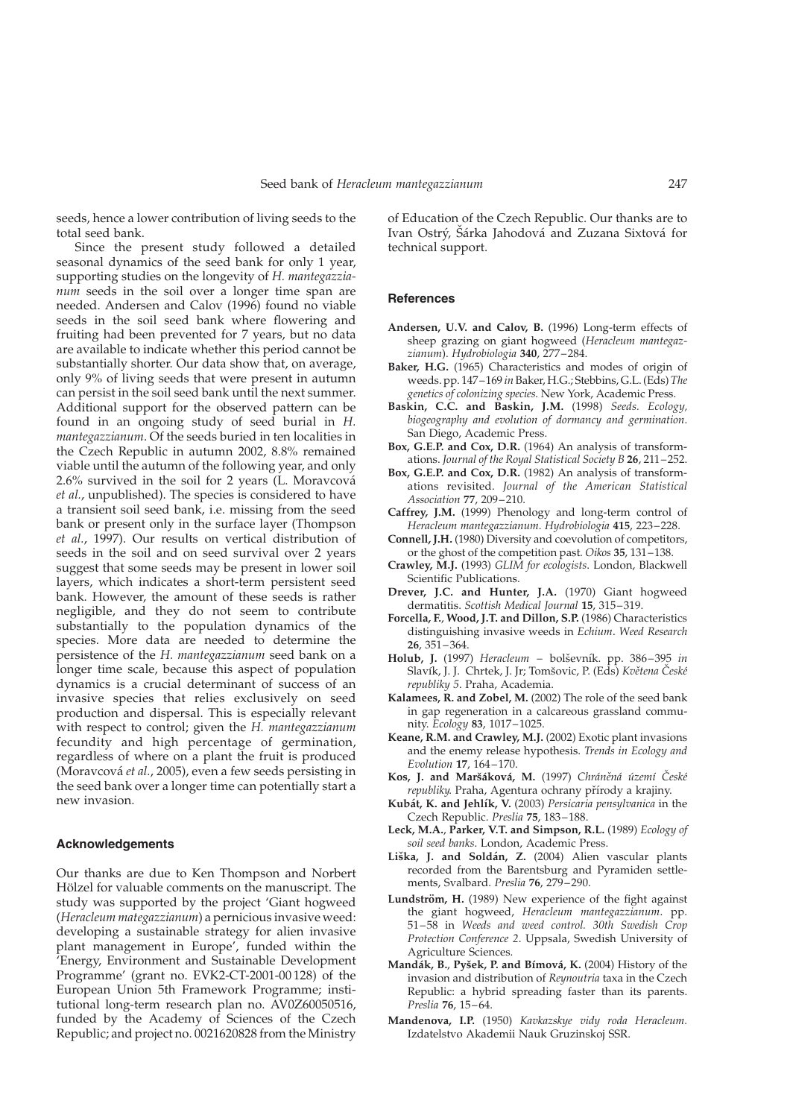seeds, hence a lower contribution of living seeds to the total seed bank.

Since the present study followed a detailed seasonal dynamics of the seed bank for only 1 year, supporting studies on the longevity of H. mantegazzianum seeds in the soil over a longer time span are needed. Andersen and Calov (1996) found no viable seeds in the soil seed bank where flowering and fruiting had been prevented for 7 years, but no data are available to indicate whether this period cannot be substantially shorter. Our data show that, on average, only 9% of living seeds that were present in autumn can persist in the soil seed bank until the next summer. Additional support for the observed pattern can be found in an ongoing study of seed burial in H. mantegazzianum. Of the seeds buried in ten localities in the Czech Republic in autumn 2002, 8.8% remained viable until the autumn of the following year, and only 2.6% survived in the soil for 2 years (L. Moravcova´ et al., unpublished). The species is considered to have a transient soil seed bank, i.e. missing from the seed bank or present only in the surface layer (Thompson et al., 1997). Our results on vertical distribution of seeds in the soil and on seed survival over 2 years suggest that some seeds may be present in lower soil layers, which indicates a short-term persistent seed bank. However, the amount of these seeds is rather negligible, and they do not seem to contribute substantially to the population dynamics of the species. More data are needed to determine the persistence of the H. mantegazzianum seed bank on a longer time scale, because this aspect of population dynamics is a crucial determinant of success of an invasive species that relies exclusively on seed production and dispersal. This is especially relevant with respect to control; given the H. mantegazzianum fecundity and high percentage of germination, regardless of where on a plant the fruit is produced (Moravcová et al., 2005), even a few seeds persisting in the seed bank over a longer time can potentially start a new invasion.

#### Acknowledgements

Our thanks are due to Ken Thompson and Norbert Hölzel for valuable comments on the manuscript. The study was supported by the project 'Giant hogweed (Heracleum mategazzianum) a pernicious invasive weed: developing a sustainable strategy for alien invasive plant management in Europe', funded within the 'Energy, Environment and Sustainable Development Programme' (grant no. EVK2-CT-2001-00 128) of the European Union 5th Framework Programme; institutional long-term research plan no. AV0Z60050516, funded by the Academy of Sciences of the Czech Republic; and project no. 0021620828 from the Ministry of Education of the Czech Republic. Our thanks are to Ivan Ostrý, Sárka Jahodová and Zuzana Sixtová for technical support.

### **References**

- Andersen, U.V. and Calov, B. (1996) Long-term effects of sheep grazing on giant hogweed (Heracleum mantegazzianum). Hydrobiologia 340, 277–284.
- Baker, H.G. (1965) Characteristics and modes of origin of weeds. pp. 147–169 in Baker, H.G.; Stebbins, G.L. (Eds) The genetics of colonizing species. New York, Academic Press.
- Baskin, C.C. and Baskin, J.M. (1998) Seeds. Ecology, biogeography and evolution of dormancy and germination. San Diego, Academic Press.
- Box, G.E.P. and Cox, D.R. (1964) An analysis of transformations. Journal of the Royal Statistical Society B 26, 211–252.
- Box, G.E.P. and Cox, D.R. (1982) An analysis of transformations revisited. Journal of the American Statistical Association 77, 209–210.
- Caffrey, J.M. (1999) Phenology and long-term control of Heracleum mantegazzianum. Hydrobiologia 415, 223–228.
- Connell, J.H. (1980) Diversity and coevolution of competitors, or the ghost of the competition past. Oikos 35, 131–138.
- Crawley, M.J. (1993) GLIM for ecologists. London, Blackwell Scientific Publications.
- Drever, J.C. and Hunter, J.A. (1970) Giant hogweed dermatitis. Scottish Medical Journal 15, 315–319.
- Forcella, F., Wood, J.T. and Dillon, S.P. (1986) Characteristics distinguishing invasive weeds in Echium. Weed Research 26, 351–364.
- Holub, J. (1997) Heracleum bolševník. pp. 386-395 in Slavík, J. J. Chrtek, J. Jr; Tomšovic, P. (Eds) Květena České republiky 5. Praha, Academia.
- Kalamees, R. and Zobel, M. (2002) The role of the seed bank in gap regeneration in a calcareous grassland community. Ecology 83, 1017–1025.
- Keane, R.M. and Crawley, M.J. (2002) Exotic plant invasions and the enemy release hypothesis. Trends in Ecology and Evolution 17, 164–170.
- Kos, J. and Maršáková, M. (1997) Chráněná území České republiky. Praha, Agentura ochrany přírody a krajiny.
- Kubát, K. and Jehlík, V. (2003) Persicaria pensylvanica in the Czech Republic. Preslia 75, 183–188.
- Leck, M.A., Parker, V.T. and Simpson, R.L. (1989) Ecology of soil seed banks. London, Academic Press.
- Liška, J. and Soldán, Z. (2004) Alien vascular plants recorded from the Barentsburg and Pyramiden settlements, Svalbard. Preslia 76, 279–290.
- Lundström, H. (1989) New experience of the fight against the giant hogweed, Heracleum mantegazzianum. pp. 51–58 in Weeds and weed control. 30th Swedish Crop Protection Conference 2. Uppsala, Swedish University of Agriculture Sciences.
- Mandák, B., Pyšek, P. and Bímová, K. (2004) History of the invasion and distribution of Reynoutria taxa in the Czech Republic: a hybrid spreading faster than its parents. Preslia 76, 15–64.
- Mandenova, I.P. (1950) Kavkazskye vidy roda Heracleum. Izdatelstvo Akademii Nauk Gruzinskoj SSR.